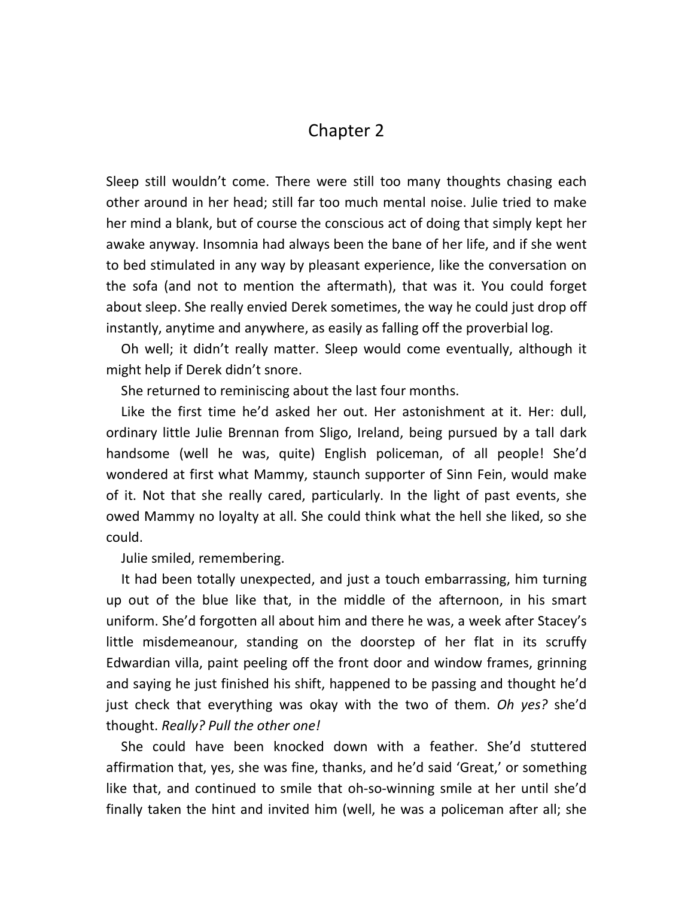## Chapter 2

Sleep still wouldn't come. There were still too many thoughts chasing each other around in her head; still far too much mental noise. Julie tried to make her mind a blank, but of course the conscious act of doing that simply kept her awake anyway. Insomnia had always been the bane of her life, and if she went to bed stimulated in any way by pleasant experience, like the conversation on the sofa (and not to mention the aftermath), that was it. You could forget about sleep. She really envied Derek sometimes, the way he could just drop off instantly, anytime and anywhere, as easily as falling off the proverbial log.

Oh well; it didn't really matter. Sleep would come eventually, although it might help if Derek didn't snore.

She returned to reminiscing about the last four months.

Like the first time he'd asked her out. Her astonishment at it. Her: dull, ordinary little Julie Brennan from Sligo, Ireland, being pursued by a tall dark handsome (well he was, quite) English policeman, of all people! She'd wondered at first what Mammy, staunch supporter of Sinn Fein, would make of it. Not that she really cared, particularly. In the light of past events, she owed Mammy no loyalty at all. She could think what the hell she liked, so she could.

Julie smiled, remembering.

It had been totally unexpected, and just a touch embarrassing, him turning up out of the blue like that, in the middle of the afternoon, in his smart uniform. She'd forgotten all about him and there he was, a week after Stacey's little misdemeanour, standing on the doorstep of her flat in its scruffy Edwardian villa, paint peeling off the front door and window frames, grinning and saying he just finished his shift, happened to be passing and thought he'd just check that everything was okay with the two of them. *Oh yes?* she'd thought. *Really? Pull the other one!* 

She could have been knocked down with a feather. She'd stuttered affirmation that, yes, she was fine, thanks, and he'd said 'Great,' or something like that, and continued to smile that oh-so-winning smile at her until she'd finally taken the hint and invited him (well, he was a policeman after all; she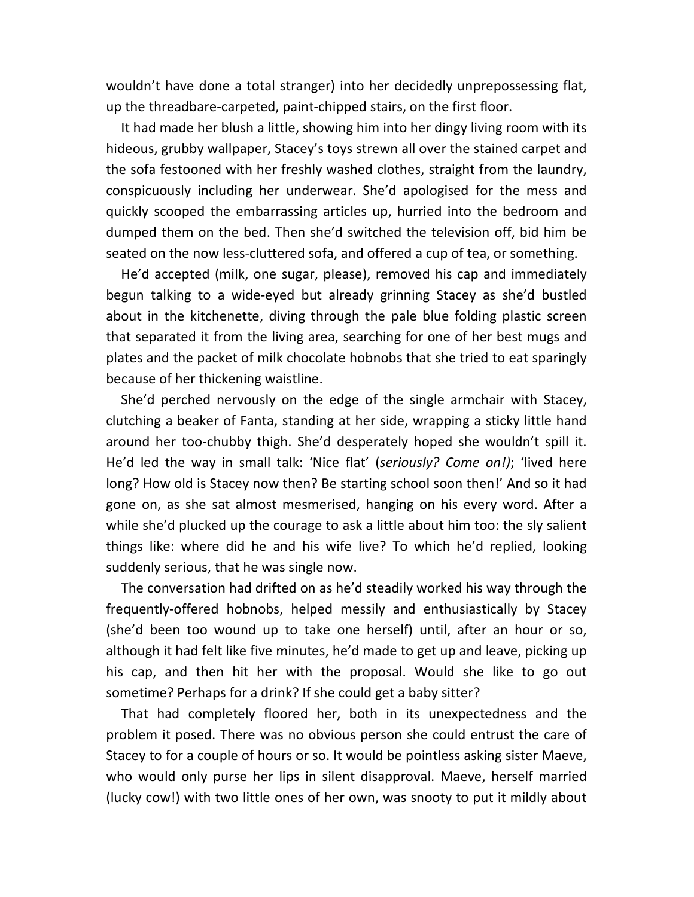wouldn't have done a total stranger) into her decidedly unprepossessing flat, up the threadbare-carpeted, paint-chipped stairs, on the first floor.

It had made her blush a little, showing him into her dingy living room with its hideous, grubby wallpaper, Stacey's toys strewn all over the stained carpet and the sofa festooned with her freshly washed clothes, straight from the laundry, conspicuously including her underwear. She'd apologised for the mess and quickly scooped the embarrassing articles up, hurried into the bedroom and dumped them on the bed. Then she'd switched the television off, bid him be seated on the now less-cluttered sofa, and offered a cup of tea, or something.

He'd accepted (milk, one sugar, please), removed his cap and immediately begun talking to a wide-eyed but already grinning Stacey as she'd bustled about in the kitchenette, diving through the pale blue folding plastic screen that separated it from the living area, searching for one of her best mugs and plates and the packet of milk chocolate hobnobs that she tried to eat sparingly because of her thickening waistline.

She'd perched nervously on the edge of the single armchair with Stacey, clutching a beaker of Fanta, standing at her side, wrapping a sticky little hand around her too-chubby thigh. She'd desperately hoped she wouldn't spill it. He'd led the way in small talk: 'Nice flat' (*seriously? Come on!)*; 'lived here long? How old is Stacey now then? Be starting school soon then!' And so it had gone on, as she sat almost mesmerised, hanging on his every word. After a while she'd plucked up the courage to ask a little about him too: the sly salient things like: where did he and his wife live? To which he'd replied, looking suddenly serious, that he was single now.

The conversation had drifted on as he'd steadily worked his way through the frequently-offered hobnobs, helped messily and enthusiastically by Stacey (she'd been too wound up to take one herself) until, after an hour or so, although it had felt like five minutes, he'd made to get up and leave, picking up his cap, and then hit her with the proposal. Would she like to go out sometime? Perhaps for a drink? If she could get a baby sitter?

That had completely floored her, both in its unexpectedness and the problem it posed. There was no obvious person she could entrust the care of Stacey to for a couple of hours or so. It would be pointless asking sister Maeve, who would only purse her lips in silent disapproval. Maeve, herself married (lucky cow!) with two little ones of her own, was snooty to put it mildly about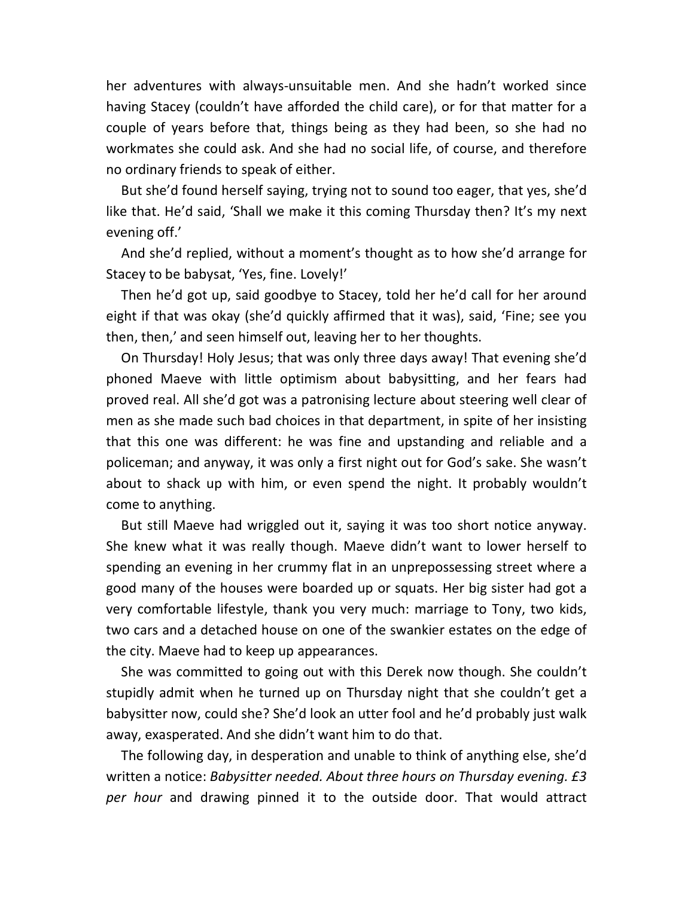her adventures with always-unsuitable men. And she hadn't worked since having Stacey (couldn't have afforded the child care), or for that matter for a couple of years before that, things being as they had been, so she had no workmates she could ask. And she had no social life, of course, and therefore no ordinary friends to speak of either.

But she'd found herself saying, trying not to sound too eager, that yes, she'd like that. He'd said, 'Shall we make it this coming Thursday then? It's my next evening off.'

And she'd replied, without a moment's thought as to how she'd arrange for Stacey to be babysat, 'Yes, fine. Lovely!'

Then he'd got up, said goodbye to Stacey, told her he'd call for her around eight if that was okay (she'd quickly affirmed that it was), said, 'Fine; see you then, then,' and seen himself out, leaving her to her thoughts.

On Thursday! Holy Jesus; that was only three days away! That evening she'd phoned Maeve with little optimism about babysitting, and her fears had proved real. All she'd got was a patronising lecture about steering well clear of men as she made such bad choices in that department, in spite of her insisting that this one was different: he was fine and upstanding and reliable and a policeman; and anyway, it was only a first night out for God's sake. She wasn't about to shack up with him, or even spend the night. It probably wouldn't come to anything.

But still Maeve had wriggled out it, saying it was too short notice anyway. She knew what it was really though. Maeve didn't want to lower herself to spending an evening in her crummy flat in an unprepossessing street where a good many of the houses were boarded up or squats. Her big sister had got a very comfortable lifestyle, thank you very much: marriage to Tony, two kids, two cars and a detached house on one of the swankier estates on the edge of the city. Maeve had to keep up appearances.

She was committed to going out with this Derek now though. She couldn't stupidly admit when he turned up on Thursday night that she couldn't get a babysitter now, could she? She'd look an utter fool and he'd probably just walk away, exasperated. And she didn't want him to do that.

The following day, in desperation and unable to think of anything else, she'd written a notice: *Babysitter needed. About three hours on Thursday evening. £3 per hour* and drawing pinned it to the outside door. That would attract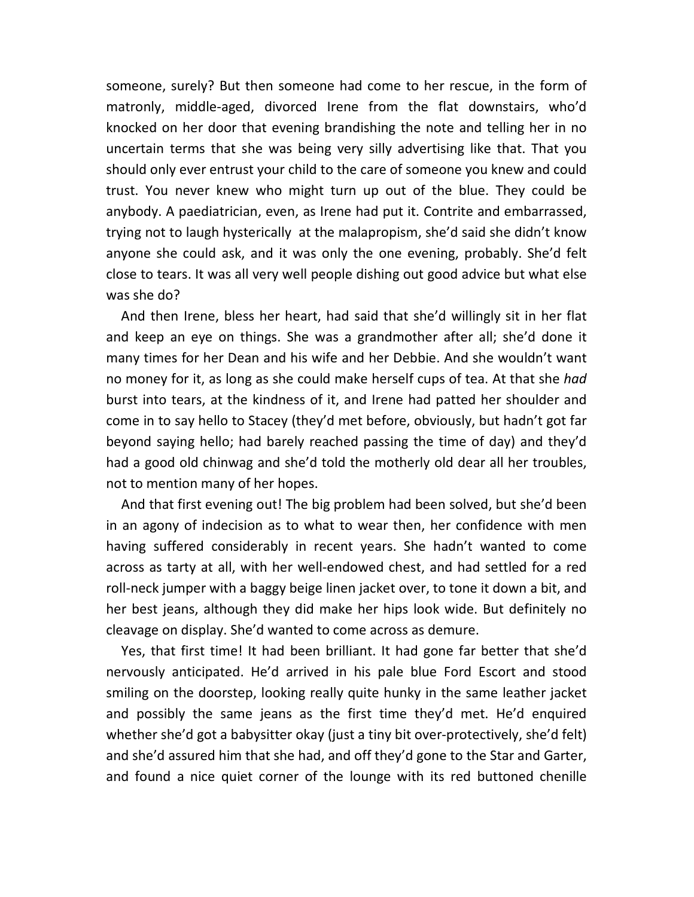someone, surely? But then someone had come to her rescue, in the form of matronly, middle-aged, divorced Irene from the flat downstairs, who'd knocked on her door that evening brandishing the note and telling her in no uncertain terms that she was being very silly advertising like that. That you should only ever entrust your child to the care of someone you knew and could trust. You never knew who might turn up out of the blue. They could be anybody. A paediatrician, even, as Irene had put it. Contrite and embarrassed, trying not to laugh hysterically at the malapropism, she'd said she didn't know anyone she could ask, and it was only the one evening, probably. She'd felt close to tears. It was all very well people dishing out good advice but what else was she do?

And then Irene, bless her heart, had said that she'd willingly sit in her flat and keep an eye on things. She was a grandmother after all; she'd done it many times for her Dean and his wife and her Debbie. And she wouldn't want no money for it, as long as she could make herself cups of tea. At that she *had*  burst into tears, at the kindness of it, and Irene had patted her shoulder and come in to say hello to Stacey (they'd met before, obviously, but hadn't got far beyond saying hello; had barely reached passing the time of day) and they'd had a good old chinwag and she'd told the motherly old dear all her troubles, not to mention many of her hopes.

And that first evening out! The big problem had been solved, but she'd been in an agony of indecision as to what to wear then, her confidence with men having suffered considerably in recent years. She hadn't wanted to come across as tarty at all, with her well-endowed chest, and had settled for a red roll-neck jumper with a baggy beige linen jacket over, to tone it down a bit, and her best jeans, although they did make her hips look wide. But definitely no cleavage on display. She'd wanted to come across as demure.

Yes, that first time! It had been brilliant. It had gone far better that she'd nervously anticipated. He'd arrived in his pale blue Ford Escort and stood smiling on the doorstep, looking really quite hunky in the same leather jacket and possibly the same jeans as the first time they'd met. He'd enquired whether she'd got a babysitter okay (just a tiny bit over-protectively, she'd felt) and she'd assured him that she had, and off they'd gone to the Star and Garter, and found a nice quiet corner of the lounge with its red buttoned chenille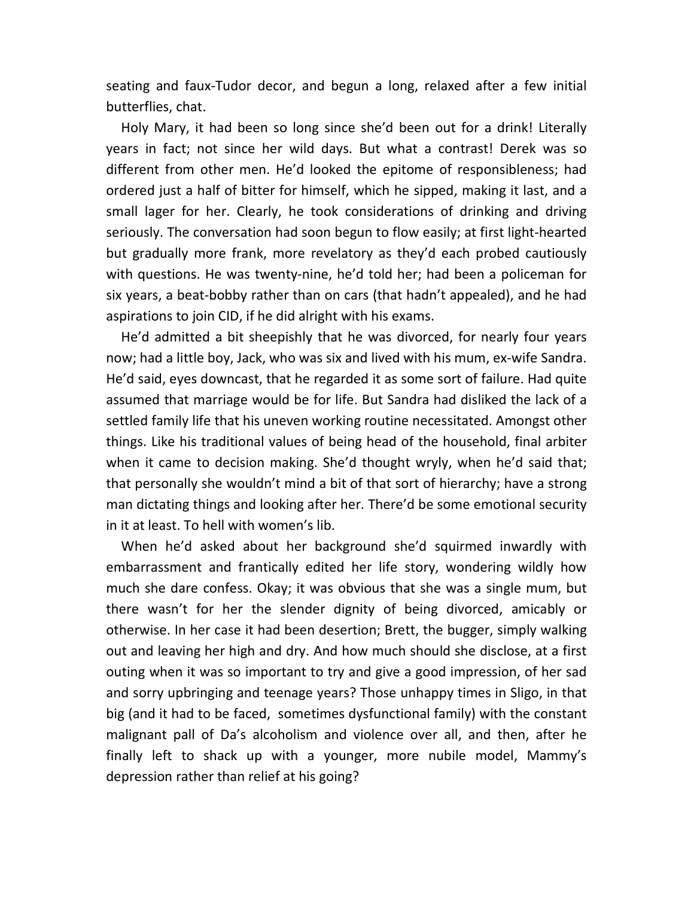seating and faux-Tudor decor, and begun a long, relaxed after a few initial butterflies, chat.

Holy Mary, it had been so long since she'd been out for a drink! Literally years in fact; not since her wild days. But what a contrast! Derek was so different from other men. He'd looked the epitome of responsibleness; had ordered just a half of bitter for himself, which he sipped, making it last, and a small lager for her. Clearly, he took considerations of drinking and driving seriously. The conversation had soon begun to flow easily; at first light-hearted but gradually more frank, more revelatory as they'd each probed cautiously with questions. He was twenty-nine, he'd told her; had been a policeman for six years, a beat-bobby rather than on cars (that hadn't appealed), and he had aspirations to join CID, if he did alright with his exams.

He'd admitted a bit sheepishly that he was divorced, for nearly four years now; had a little boy, Jack, who was six and lived with his mum, ex-wife Sandra. He'd said, eyes downcast, that he regarded it as some sort of failure. Had quite assumed that marriage would be for life. But Sandra had disliked the lack of a settled family life that his uneven working routine necessitated. Amongst other things. Like his traditional values of being head of the household, final arbiter when it came to decision making. She'd thought wryly, when he'd said that; that personally she wouldn't mind a bit of that sort of hierarchy; have a strong man dictating things and looking after her. There'd be some emotional security in it at least. To hell with women's lib.

When he'd asked about her background she'd squirmed inwardly with embarrassment and frantically edited her life story, wondering wildly how much she dare confess. Okay; it was obvious that she was a single mum, but there wasn't for her the slender dignity of being divorced, amicably or otherwise. In her case it had been desertion; Brett, the bugger, simply walking out and leaving her high and dry. And how much should she disclose, at a first outing when it was so important to try and give a good impression, of her sad and sorry upbringing and teenage years? Those unhappy times in Sligo, in that big (and it had to be faced, sometimes dysfunctional family) with the constant malignant pall of Da's alcoholism and violence over all, and then, after he finally left to shack up with a younger, more nubile model, Mammy's depression rather than relief at his going?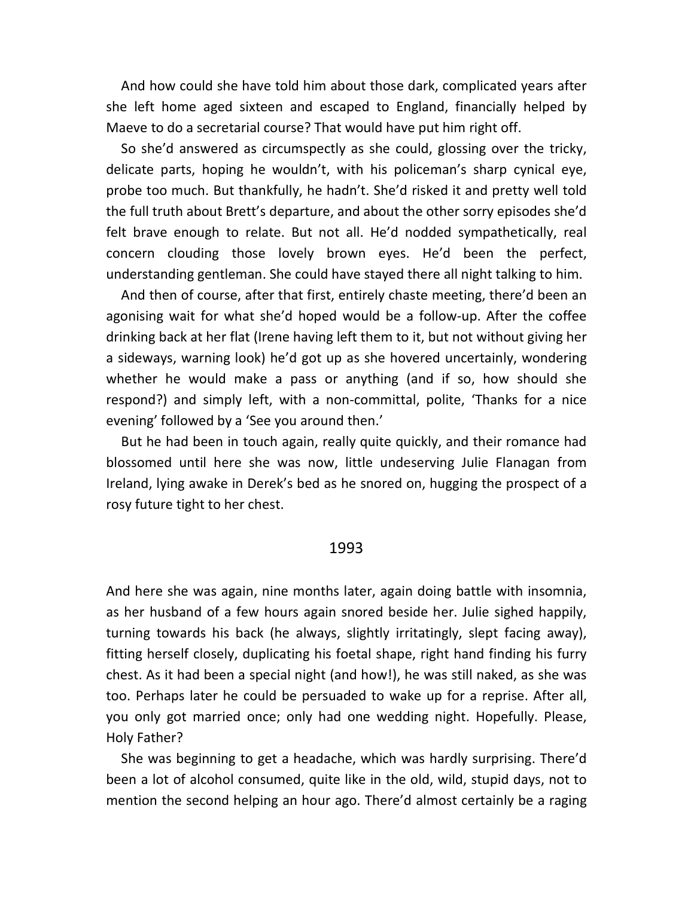And how could she have told him about those dark, complicated years after she left home aged sixteen and escaped to England, financially helped by Maeve to do a secretarial course? That would have put him right off.

So she'd answered as circumspectly as she could, glossing over the tricky, delicate parts, hoping he wouldn't, with his policeman's sharp cynical eye, probe too much. But thankfully, he hadn't. She'd risked it and pretty well told the full truth about Brett's departure, and about the other sorry episodes she'd felt brave enough to relate. But not all. He'd nodded sympathetically, real concern clouding those lovely brown eyes. He'd been the perfect, understanding gentleman. She could have stayed there all night talking to him.

And then of course, after that first, entirely chaste meeting, there'd been an agonising wait for what she'd hoped would be a follow-up. After the coffee drinking back at her flat (Irene having left them to it, but not without giving her a sideways, warning look) he'd got up as she hovered uncertainly, wondering whether he would make a pass or anything (and if so, how should she respond?) and simply left, with a non-committal, polite, 'Thanks for a nice evening' followed by a 'See you around then.'

But he had been in touch again, really quite quickly, and their romance had blossomed until here she was now, little undeserving Julie Flanagan from Ireland, lying awake in Derek's bed as he snored on, hugging the prospect of a rosy future tight to her chest.

## 1993

And here she was again, nine months later, again doing battle with insomnia, as her husband of a few hours again snored beside her. Julie sighed happily, turning towards his back (he always, slightly irritatingly, slept facing away), fitting herself closely, duplicating his foetal shape, right hand finding his furry chest. As it had been a special night (and how!), he was still naked, as she was too. Perhaps later he could be persuaded to wake up for a reprise. After all, you only got married once; only had one wedding night. Hopefully. Please, Holy Father?

She was beginning to get a headache, which was hardly surprising. There'd been a lot of alcohol consumed, quite like in the old, wild, stupid days, not to mention the second helping an hour ago. There'd almost certainly be a raging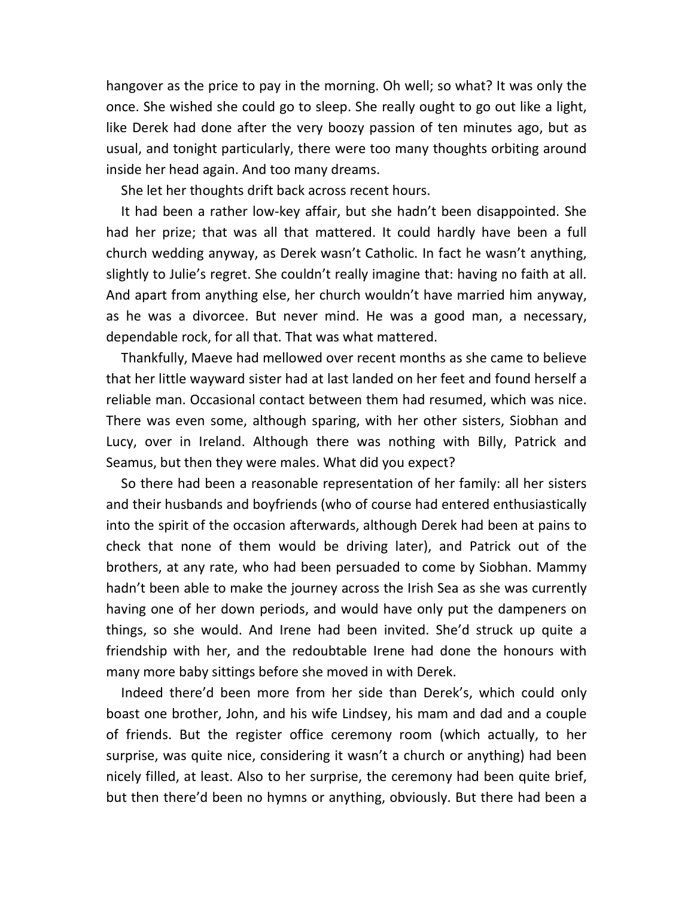hangover as the price to pay in the morning. Oh well; so what? It was only the once. She wished she could go to sleep. She really ought to go out like a light, like Derek had done after the very boozy passion of ten minutes ago, but as usual, and tonight particularly, there were too many thoughts orbiting around inside her head again. And too many dreams.

She let her thoughts drift back across recent hours.

It had been a rather low-key affair, but she hadn't been disappointed. She had her prize; that was all that mattered. It could hardly have been a full church wedding anyway, as Derek wasn't Catholic. In fact he wasn't anything, slightly to Julie's regret. She couldn't really imagine that: having no faith at all. And apart from anything else, her church wouldn't have married him anyway, as he was a divorcee. But never mind. He was a good man, a necessary, dependable rock, for all that. That was what mattered.

Thankfully, Maeve had mellowed over recent months as she came to believe that her little wayward sister had at last landed on her feet and found herself a reliable man. Occasional contact between them had resumed, which was nice. There was even some, although sparing, with her other sisters, Siobhan and Lucy, over in Ireland. Although there was nothing with Billy, Patrick and Seamus, but then they were males. What did you expect?

So there had been a reasonable representation of her family: all her sisters and their husbands and boyfriends (who of course had entered enthusiastically into the spirit of the occasion afterwards, although Derek had been at pains to check that none of them would be driving later), and Patrick out of the brothers, at any rate, who had been persuaded to come by Siobhan. Mammy hadn't been able to make the journey across the Irish Sea as she was currently having one of her down periods, and would have only put the dampeners on things, so she would. And Irene had been invited. She'd struck up quite a friendship with her, and the redoubtable Irene had done the honours with many more baby sittings before she moved in with Derek.

Indeed there'd been more from her side than Derek's, which could only boast one brother, John, and his wife Lindsey, his mam and dad and a couple of friends. But the register office ceremony room (which actually, to her surprise, was quite nice, considering it wasn't a church or anything) had been nicely filled, at least. Also to her surprise, the ceremony had been quite brief, but then there'd been no hymns or anything, obviously. But there had been a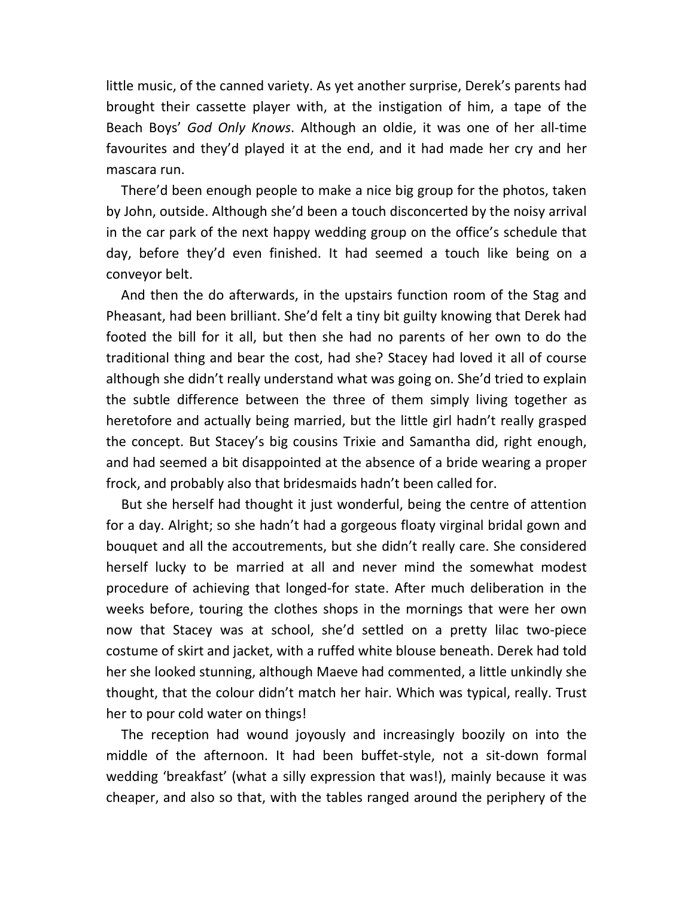little music, of the canned variety. As yet another surprise, Derek's parents had brought their cassette player with, at the instigation of him, a tape of the Beach Boys' *God Only Knows*. Although an oldie, it was one of her all-time favourites and they'd played it at the end, and it had made her cry and her mascara run.

There'd been enough people to make a nice big group for the photos, taken by John, outside. Although she'd been a touch disconcerted by the noisy arrival in the car park of the next happy wedding group on the office's schedule that day, before they'd even finished. It had seemed a touch like being on a conveyor belt.

And then the do afterwards, in the upstairs function room of the Stag and Pheasant, had been brilliant. She'd felt a tiny bit guilty knowing that Derek had footed the bill for it all, but then she had no parents of her own to do the traditional thing and bear the cost, had she? Stacey had loved it all of course although she didn't really understand what was going on. She'd tried to explain the subtle difference between the three of them simply living together as heretofore and actually being married, but the little girl hadn't really grasped the concept. But Stacey's big cousins Trixie and Samantha did, right enough, and had seemed a bit disappointed at the absence of a bride wearing a proper frock, and probably also that bridesmaids hadn't been called for.

But she herself had thought it just wonderful, being the centre of attention for a day. Alright; so she hadn't had a gorgeous floaty virginal bridal gown and bouquet and all the accoutrements, but she didn't really care. She considered herself lucky to be married at all and never mind the somewhat modest procedure of achieving that longed-for state. After much deliberation in the weeks before, touring the clothes shops in the mornings that were her own now that Stacey was at school, she'd settled on a pretty lilac two-piece costume of skirt and jacket, with a ruffed white blouse beneath. Derek had told her she looked stunning, although Maeve had commented, a little unkindly she thought, that the colour didn't match her hair. Which was typical, really. Trust her to pour cold water on things!

The reception had wound joyously and increasingly boozily on into the middle of the afternoon. It had been buffet-style, not a sit-down formal wedding 'breakfast' (what a silly expression that was!), mainly because it was cheaper, and also so that, with the tables ranged around the periphery of the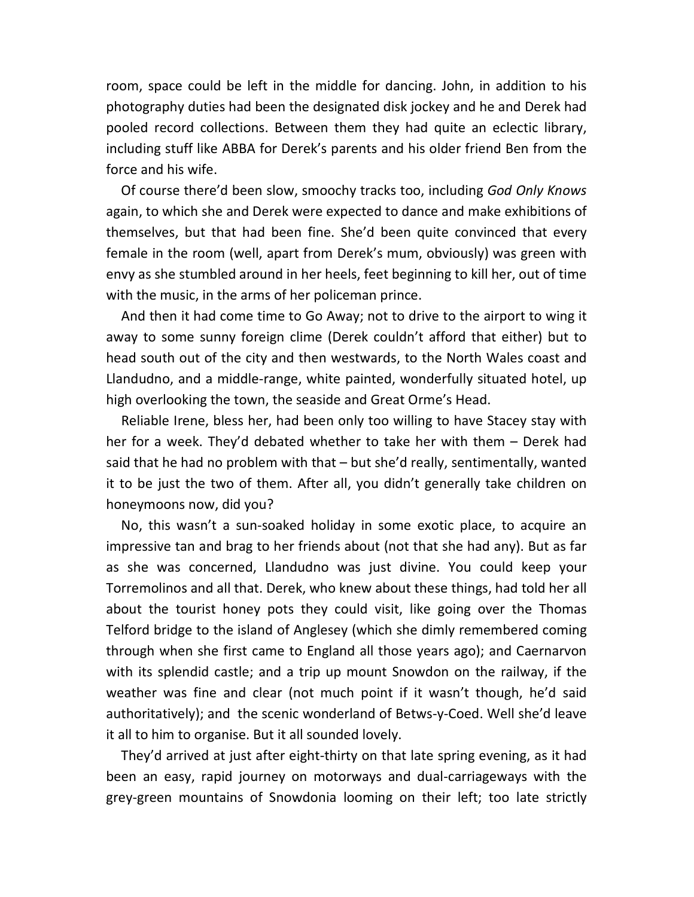room, space could be left in the middle for dancing. John, in addition to his photography duties had been the designated disk jockey and he and Derek had pooled record collections. Between them they had quite an eclectic library, including stuff like ABBA for Derek's parents and his older friend Ben from the force and his wife.

Of course there'd been slow, smoochy tracks too, including *God Only Knows* again, to which she and Derek were expected to dance and make exhibitions of themselves, but that had been fine. She'd been quite convinced that every female in the room (well, apart from Derek's mum, obviously) was green with envy as she stumbled around in her heels, feet beginning to kill her, out of time with the music, in the arms of her policeman prince.

And then it had come time to Go Away; not to drive to the airport to wing it away to some sunny foreign clime (Derek couldn't afford that either) but to head south out of the city and then westwards, to the North Wales coast and Llandudno, and a middle-range, white painted, wonderfully situated hotel, up high overlooking the town, the seaside and Great Orme's Head.

Reliable Irene, bless her, had been only too willing to have Stacey stay with her for a week. They'd debated whether to take her with them – Derek had said that he had no problem with that – but she'd really, sentimentally, wanted it to be just the two of them. After all, you didn't generally take children on honeymoons now, did you?

No, this wasn't a sun-soaked holiday in some exotic place, to acquire an impressive tan and brag to her friends about (not that she had any). But as far as she was concerned, Llandudno was just divine. You could keep your Torremolinos and all that. Derek, who knew about these things, had told her all about the tourist honey pots they could visit, like going over the Thomas Telford bridge to the island of Anglesey (which she dimly remembered coming through when she first came to England all those years ago); and Caernarvon with its splendid castle; and a trip up mount Snowdon on the railway, if the weather was fine and clear (not much point if it wasn't though, he'd said authoritatively); and the scenic wonderland of Betws-y-Coed. Well she'd leave it all to him to organise. But it all sounded lovely.

They'd arrived at just after eight-thirty on that late spring evening, as it had been an easy, rapid journey on motorways and dual-carriageways with the grey-green mountains of Snowdonia looming on their left; too late strictly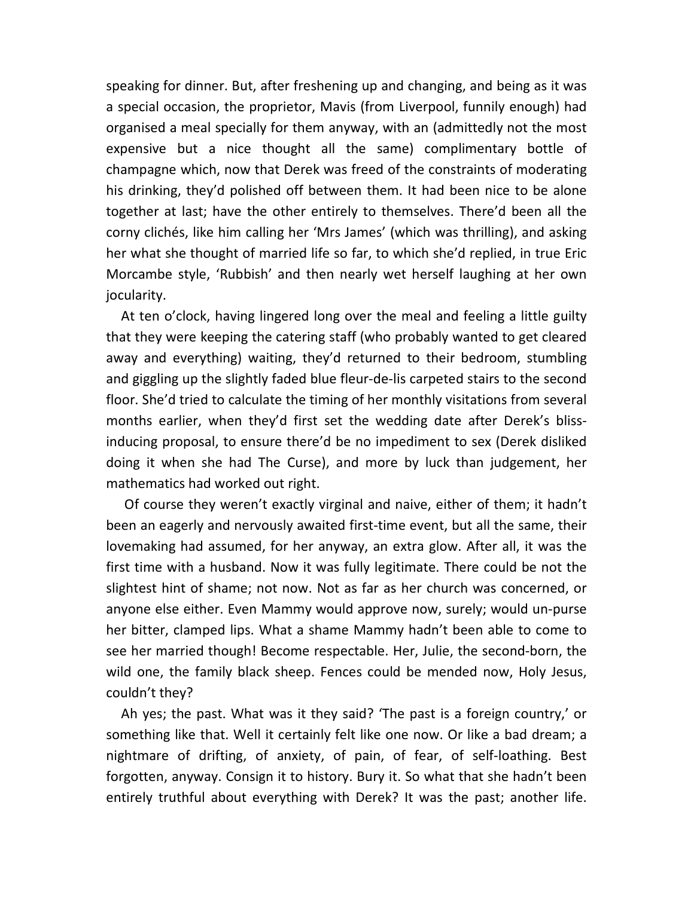speaking for dinner. But, after freshening up and changing, and being as it was a special occasion, the proprietor, Mavis (from Liverpool, funnily enough) had organised a meal specially for them anyway, with an (admittedly not the most expensive but a nice thought all the same) complimentary bottle of champagne which, now that Derek was freed of the constraints of moderating his drinking, they'd polished off between them. It had been nice to be alone together at last; have the other entirely to themselves. There'd been all the corny clichés, like him calling her 'Mrs James' (which was thrilling), and asking her what she thought of married life so far, to which she'd replied, in true Eric Morcambe style, 'Rubbish' and then nearly wet herself laughing at her own jocularity.

At ten o'clock, having lingered long over the meal and feeling a little guilty that they were keeping the catering staff (who probably wanted to get cleared away and everything) waiting, they'd returned to their bedroom, stumbling and giggling up the slightly faded blue fleur-de-lis carpeted stairs to the second floor. She'd tried to calculate the timing of her monthly visitations from several months earlier, when they'd first set the wedding date after Derek's blissinducing proposal, to ensure there'd be no impediment to sex (Derek disliked doing it when she had The Curse), and more by luck than judgement, her mathematics had worked out right.

 Of course they weren't exactly virginal and naive, either of them; it hadn't been an eagerly and nervously awaited first-time event, but all the same, their lovemaking had assumed, for her anyway, an extra glow. After all, it was the first time with a husband. Now it was fully legitimate. There could be not the slightest hint of shame; not now. Not as far as her church was concerned, or anyone else either. Even Mammy would approve now, surely; would un-purse her bitter, clamped lips. What a shame Mammy hadn't been able to come to see her married though! Become respectable. Her, Julie, the second-born, the wild one, the family black sheep. Fences could be mended now, Holy Jesus, couldn't they?

Ah yes; the past. What was it they said? 'The past is a foreign country,' or something like that. Well it certainly felt like one now. Or like a bad dream; a nightmare of drifting, of anxiety, of pain, of fear, of self-loathing. Best forgotten, anyway. Consign it to history. Bury it. So what that she hadn't been entirely truthful about everything with Derek? It was the past; another life.